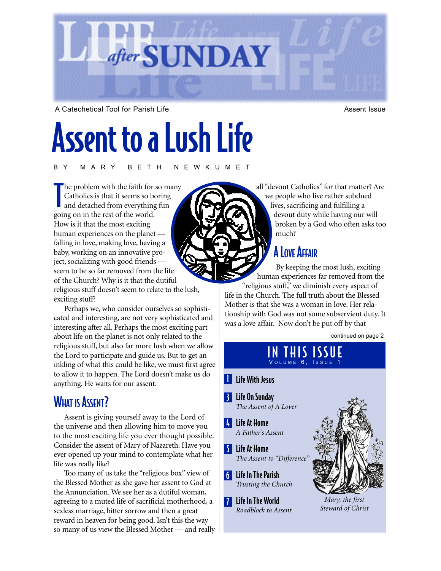

A Catechetical Tool for Parish Life Assent Issue Assent Issue

# Assent to a Lush Life

BY MARY BETH NEWKUMET

T he problem with the faith for so many Catholics is that it seems so boring and detached from everything fun going on in the rest of the world. How is it that the most exciting human experiences on the planet falling in love, making love, having a baby, working on an innovative project, socializing with good friends seem to be so far removed from the life of the Church? Why is it that the dutiful religious stuff doesn't seem to relate to the lush, exciting stuff?

Perhaps we, who consider ourselves so sophisticated and interesting, are not very sophisticated and interesting after all. Perhaps the most exciting part about life on the planet is not only related to the religious stuff, but also far more lush when we allow the Lord to participate and guide us. But to get an inkling of what this could be like, we must first agree to allow it to happen. The Lord doesn't make us do anything. He waits for our assent.

# **WHAT IS ASSENT?**

Assent is giving yourself away to the Lord of the universe and then allowing him to move you to the most exciting life you ever thought possible. Consider the assent of Mary of Nazareth. Have you ever opened up your mind to contemplate what her life was really like?

Too many of us take the "religious box" view of the Blessed Mother as she gave her assent to God at the Annunciation. We see her as a dutiful woman, agreeing to a muted life of sacrificial motherhood, a sexless marriage, bitter sorrow and then a great reward in heaven for being good. Isn't this the way so many of us view the Blessed Mother — and really all "devout Catholics" for that matter? Are *we* people who live rather subdued lives, sacrificing and fulfilling a devout duty while having our will broken by a God who often asks too much?

# **A LOVE AFFAIR**

By keeping the most lush, exciting human experiences far removed from the "religious stuff," we diminish every aspect of life in the Church. The full truth about the Blessed Mother is that she was a woman in love. Her relationship with God was not some subservient duty. It

was a love affair. Now don't be put off by that **I** Life With Jesus <u>11</u> 6 Life In The Parish 4 Life At Home 5 Life At Home 3 Life On Sunday *The Assent of A Lover A Father's Assent The Assent to "Difference" Trusting the Church* Life In The World *Roadblock to Assent*  continued on page 2 IN THIS ISSUE  $V$ OLUME  $6.$ *Mary, the first Steward of Christ*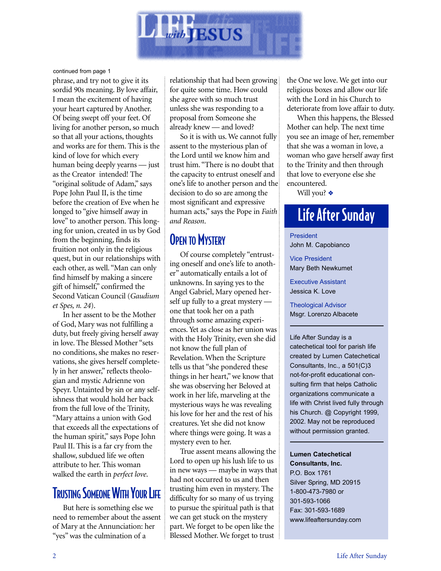

continued from page 1

phrase, and try not to give it its sordid 90s meaning. By love affair, I mean the excitement of having your heart captured by Another. Of being swept off your feet. Of living for another person, so much so that all your actions, thoughts and works are for them. This is the kind of love for which every human being deeply yearns — just as the Creator intended! The "original solitude of Adam," says Pope John Paul II, is the time before the creation of Eve when he longed to "give himself away in love" to another person. This longing for union, created in us by God from the beginning, finds its fruition not only in the religious quest, but in our relationships with each other, as well. "Man can only find himself by making a sincere gift of himself," confirmed the Second Vatican Council (*Gaudium et Spes, n. 24*).

In her assent to be the Mother of God, Mary was not fulfilling a duty, but freely giving herself away in love. The Blessed Mother "sets no conditions, she makes no reservations, she gives herself completely in her answer," reflects theologian and mystic Adrienne von Speyr. Untainted by sin or any selfishness that would hold her back from the full love of the Trinity, "Mary attains a union with God that exceeds all the expectations of the human spirit," says Pope John Paul II. This is a far cry from the shallow, subdued life we often attribute to her. This woman walked the earth in *perfect love*.

## **TRUSTING SOMEONE WITH YOUR LIFE**

But here is something else we need to remember about the assent of Mary at the Annunciation: her "yes" was the culmination of a

relationship that had been growing for quite some time. How could she agree with so much trust unless she was responding to a proposal from Someone she already knew — and loved?

So it is with us. We cannot fully assent to the mysterious plan of the Lord until we know him and trust him. "There is no doubt that the capacity to entrust oneself and one's life to another person and the decision to do so are among the most significant and expressive human acts," says the Pope in *Faith and Reason*.

# **OPEN TO MYSTERY**

Of course completely "entrusting oneself and one's life to another" automatically entails a lot of unknowns. In saying yes to the Angel Gabriel, Mary opened herself up fully to a great mystery one that took her on a path through some amazing experiences. Yet as close as her union was with the Holy Trinity, even she did not know the full plan of Revelation. When the Scripture tells us that "she pondered these things in her heart," we know that she was observing her Beloved at work in her life, marveling at the mysterious ways he was revealing his love for her and the rest of his creatures. Yet she did not know where things were going. It was a mystery even to her.

True assent means allowing the Lord to open up his lush life to us in new ways — maybe in ways that had not occurred to us and then trusting him even in mystery. The difficulty for so many of us trying to pursue the spiritual path is that we can get stuck on the mystery part. We forget to be open like the Blessed Mother. We forget to trust

the One we love. We get into our religious boxes and allow our life with the Lord in his Church to deteriorate from love affair to duty.

When this happens, the Blessed Mother can help. The next time you see an image of her, remember that she was a woman in love, a woman who gave herself away first to the Trinity and then through that love to everyone else she encountered.

Will you? ❖

# Life After Sunday

President John M. Capobianco

Vice President Mary Beth Newkumet

Executive Assistant Jessica K. Love

Theological Advisor Msgr. Lorenzo Albacete

Life After Sunday is a catechetical tool for parish life created by Lumen Catechetical Consultants, Inc., a 501(C)3 not-for-profit educational consulting firm that helps Catholic organizations communicate a life with Christ lived fully through his Church. @ Copyright 1999, 2002. May not be reproduced without permission granted.

**Lumen Catechetical Consultants, Inc.** P.O. Box 1761 Silver Spring, MD 20915 1-800-473-7980 or 301-593-1066 Fax: 301-593-1689 www.lifeaftersunday.com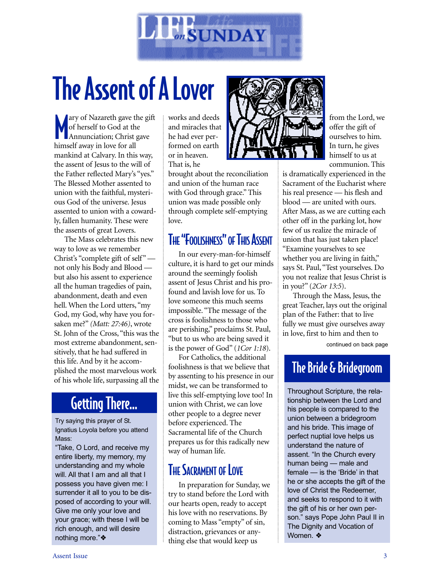

# The Assent of A Lover

M ary of Nazareth gave the gift of herself to God at the Annunciation; Christ gave himself away in love for all mankind at Calvary. In this way, the assent of Jesus to the will of the Father reflected Mary's "yes." The Blessed Mother assented to union with the faithful, mysterious God of the universe. Jesus assented to union with a cowardly, fallen humanity. These were the assents of great Lovers.

The Mass celebrates this new way to love as we remember Christ's "complete gift of self" not only his Body and Blood but also his assent to experience all the human tragedies of pain, abandonment, death and even hell. When the Lord utters, "my God, my God, why have you forsaken me?" *(Matt: 27:46)*, wrote St. John of the Cross, "this was the most extreme abandonment, sensitively, that he had suffered in this life. And by it he accomplished the most marvelous work of his whole life, surpassing all the

# Getting There…

Try saying this prayer of St. Ignatius Loyola before you attend Mass:

"Take, O Lord, and receive my entire liberty, my memory, my understanding and my whole will. All that I am and all that I possess you have given me: I surrender it all to you to be disposed of according to your will. Give me only your love and your grace; with these I will be rich enough, and will desire nothing more."❖

works and deeds and miracles that he had ever performed on earth or in heaven. That is, he

brought about the reconciliation and union of the human race with God through grace." This union was made possible only through complete self-emptying love.

# THE "FOOLISHNESS" OF THIS ASSENT

In our every-man-for-himself culture, it is hard to get our minds around the seemingly foolish assent of Jesus Christ and his profound and lavish love for us. To love someone this much seems impossible. "The message of the cross is foolishness to those who are perishing," proclaims St. Paul, "but to us who are being saved it is the power of God" (*1Cor 1:18*).

For Catholics, the additional foolishness is that we believe that by assenting to his presence in our midst, we can be transformed to live this self-emptying love too! In union with Christ, we can love other people to a degree never before experienced. The Sacramental life of the Church prepares us for this radically new way of human life.

# THE SACRAMENT OF LOVE

In preparation for Sunday, we try to stand before the Lord with our hearts open, ready to accept his love with no reservations. By coming to Mass "empty" of sin, distraction, grievances or anything else that would keep us



from the Lord, we offer the gift of ourselves to him. In turn, he gives himself to us at communion. This

is dramatically experienced in the Sacrament of the Eucharist where his real presence — his flesh and blood — are united with ours. After Mass, as we are cutting each other off in the parking lot, how few of us realize the miracle of union that has just taken place! "Examine yourselves to see whether you are living in faith," says St. Paul, "Test yourselves. Do you not realize that Jesus Christ is in you?" (*2Cor 13:5*).

Through the Mass, Jesus, the great Teacher, lays out the original plan of the Father: that to live fully we must give ourselves away in love, first to him and then to

continued on back page

# The Bride & Bridegroom

Throughout Scripture, the relationship between the Lord and his people is compared to the union between a bridegroom and his bride. This image of perfect nuptial love helps us understand the nature of assent. "In the Church every human being — male and female — is the 'Bride' in that he or she accepts the gift of the love of Christ the Redeemer, and seeks to respond to it with the gift of his or her own person." says Pope John Paul II in The Dignity and Vocation of Women. ❖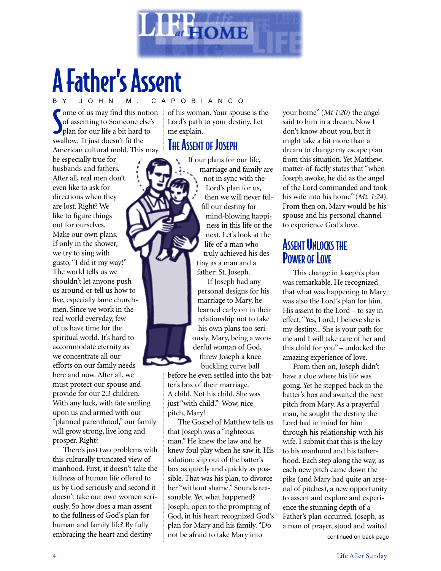

# A Father's Assent

#### O B I A N C O

Some of us may find this notice of assenting to Someone else<br>plan for our life a bit hard to ome of us may find this notion of assenting to Someone else's swallow. It just doesn't fit the American cultural mold. This may

be especially true for husbands and fathers. After all, real men don't even like to ask for directions when they are lost. Right? We like to figure things out for ourselves. Make our own plans. If only in the shower, we try to sing with gusto, "I did it my way!" The world tells us we shouldn't let anyone push us around or tell us how to live, especially lame churchmen. Since we work in the real world everyday, few of us have time for the spiritual world. It's hard to accommodate eternity as we concentrate all our efforts on our family needs here and now. After all, we must protect our spouse and provide for our 2.3 children. With any luck, with fate smiling upon us and armed with our "planned parenthood," our family will grow strong, live long and prosper. Right?

There's just two problems with this culturally truncated view of manhood. First, it doesn't take the fullness of human life offered to us by God seriously and second it doesn't take our own women seriously. So how does a man assent to the fullness of God's plan for human and family life? By fully embracing the heart and destiny

of his woman. Your spouse is the Lord's path to your destiny. Let me explain.

#### **THE ASSENT OF JOSEPH**



If our plans for our life, marriage and family are not in sync with the Lord's plan for us, then we will never fulfill our destiny for mind-blowing happiness in this life or the next. Let's look at the life of a man who truly achieved his destiny as a man and a father: St. Joseph.

If Joseph had any personal designs for his marriage to Mary, he learned early on in their relationship not to take his own plans too seriously. Mary, being a wonderful woman of God, threw Joseph a knee

buckling curve ball before he even settled into the bat-

ter's box of their marriage. A child. Not his child. She was just "with child." Wow, nice pitch, Mary!

The Gospel of Matthew tells us that Joseph was a "righteous man." He knew the law and he knew foul play when he saw it. His solution: slip out of the batter's box as quietly and quickly as possible. That was his plan, to divorce her "without shame." Sounds reasonable. Yet what happened? Joseph, open to the prompting of God, in his heart recognized God's plan for Mary and his family. "Do not be afraid to take Mary into

your home" (*Mt 1:20*) the angel said to him in a dream. Now I don't know about you, but it might take a bit more than a dream to change my escape plan from this situation. Yet Matthew, matter-of-factly states that "when Joseph awoke, he did as the angel of the Lord commanded and took his wife into his home" (*Mt. 1:24*). From then on, Mary would be his spouse and his personal channel to experience God's love.

### **ASSENT UNLOCKS THE** POWER OF LOVE

This change in Joseph's plan was remarkable. He recognized that what was happening to Mary was also the Lord's plan for him. His assent to the Lord – to say in effect, "Yes, Lord, I believe she is my destiny... She is your path for me and I will take care of her and this child for you" – unlocked the amazing experience of love.

From then on, Joseph didn't have a clue where his life was going. Yet he stepped back in the batter's box and awaited the next pitch from Mary. As a prayerful man, he sought the destiny the Lord had in mind for him through his relationship with his wife. I submit that this is the key to his manhood and his fatherhood. Each step along the way, as each new pitch came down the pike (and Mary had quite an arsenal of pitches), a new opportunity to assent and explore and experience the stunning depth of a Father's plan occurred. Joseph, as a man of prayer, stood and waited continued on back page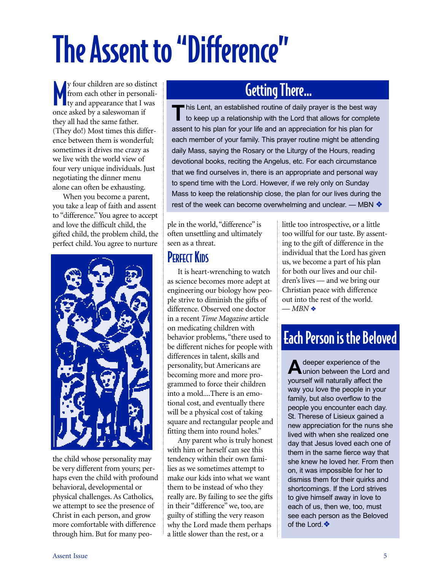# The Assent to "Difference"

M y four children are so distinct from each other in personality and appearance that I was once asked by a saleswoman if they all had the same father. (They do!) Most times this difference between them is wonderful; sometimes it drives me crazy as we live with the world view of four very unique individuals. Just negotiating the dinner menu alone can often be exhausting.

When you become a parent, you take a leap of faith and assent to "difference." You agree to accept and love the difficult child, the gifted child, the problem child, the perfect child. You agree to nurture



the child whose personality may be very different from yours; perhaps even the child with profound behavioral, developmental or physical challenges. As Catholics, we attempt to see the presence of Christ in each person, and grow more comfortable with difference through him. But for many peo-

# Getting There…

This Lent, an established routine of daily prayer is the best way<br>to keep up a relationship with the Lord that allows for complete assent to his plan for your life and an appreciation for his plan for each member of your family. This prayer routine might be attending daily Mass, saying the Rosary or the Liturgy of the Hours, reading devotional books, reciting the Angelus, etc. For each circumstance that we find ourselves in, there is an appropriate and personal way to spend time with the Lord. However, if we rely only on Sunday Mass to keep the relationship close, the plan for our lives during the rest of the week can become overwhelming and unclear. — MBN ❖

ple in the world, "difference" is often unsettling and ultimately seen as a threat.

# **PERFECT KIDS**

It is heart-wrenching to watch as science becomes more adept at engineering our biology how people strive to diminish the gifts of difference. Observed one doctor in a recent *Time Magazine* article on medicating children with behavior problems, "there used to be different niches for people with differences in talent, skills and personality, but Americans are becoming more and more programmed to force their children into a mold....There is an emotional cost, and eventually there will be a physical cost of taking square and rectangular people and fitting them into round holes."

Any parent who is truly honest with him or herself can see this tendency within their own families as we sometimes attempt to make our kids into what we want them to be instead of who they really are. By failing to see the gifts in their "difference" we, too, are guilty of stifling the very reason why the Lord made them perhaps a little slower than the rest, or a

little too introspective, or a little too willful for our taste. By assenting to the gift of difference in the individual that the Lord has given us, we become a part of his plan for both our lives and our children's lives — and we bring our Christian peace with difference out into the rest of the world.  $-MBN$ 

# Each Person is the Beloved

A deeper experience of the<br>
union between the Lord and yourself will naturally affect the way you love the people in your family, but also overflow to the people you encounter each day. St. Therese of Lisieux gained a new appreciation for the nuns she lived with when she realized one day that Jesus loved each one of them in the same fierce way that she knew he loved her. From then on, it was impossible for her to dismiss them for their quirks and shortcomings. If the Lord strives to give himself away in love to each of us, then we, too, must see each person as the Beloved of the Lord.❖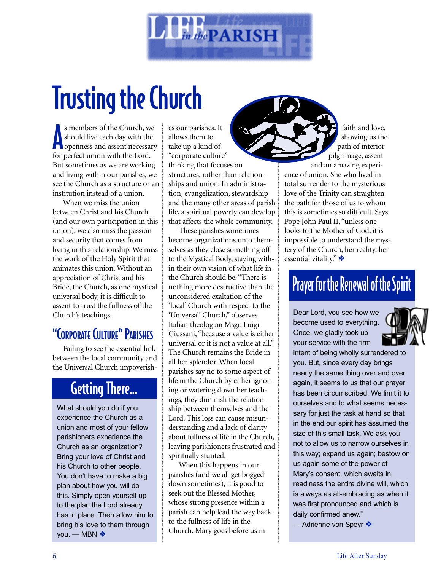

# Trusting the Church

s members of the Church, we should live each day with the openness and assent necessar<br>for perfect union with the Lord. s members of the Church, we should live each day with the openness and assent necessary But sometimes as we are working and living within our parishes, we see the Church as a structure or an institution instead of a union.

When we miss the union between Christ and his Church (and our own participation in this union), we also miss the passion and security that comes from living in this relationship. We miss the work of the Holy Spirit that animates this union. Without an appreciation of Christ and his Bride, the Church, as one mystical universal body, it is difficult to assent to trust the fullness of the Church's teachings.

# "CORPORATE CULTURE" PARISHES

Failing to see the essential link between the local community and the Universal Church impoverish-

# Getting There…

What should you do if you experience the Church as a union and most of your fellow parishioners experience the Church as an organization? Bring your love of Christ and his Church to other people. You don't have to make a big plan about how you will do this. Simply open yourself up to the plan the Lord already has in place. Then allow him to bring his love to them through you. — MBN ❖

es our parishes. It allows them to take up a kind of "corporate culture" thinking that focuses on structures, rather than relationships and union. In administration, evangelization, stewardship and the many other areas of parish life, a spiritual poverty can develop that affects the whole community.

These parishes sometimes become organizations unto themselves as they close something off to the Mystical Body, staying within their own vision of what life in the Church should be. "There is nothing more destructive than the unconsidered exaltation of the 'local' Church with respect to the 'Universal' Church," observes Italian theologian Msgr. Luigi Giussani, "because a value is either universal or it is not a value at all." The Church remains the Bride in all her splendor. When local parishes say no to some aspect of life in the Church by either ignoring or watering down her teachings, they diminish the relationship between themselves and the Lord. This loss can cause misunderstanding and a lack of clarity about fullness of life in the Church, leaving parishioners frustrated and spiritually stunted.

When this happens in our parishes (and we all get bogged down sometimes), it is good to seek out the Blessed Mother, whose strong presence within a parish can help lead the way back to the fullness of life in the Church. Mary goes before us in

faith and love, showing us the path of interior pilgrimage, assent

and an amazing experience of union. She who lived in total surrender to the mysterious love of the Trinity can straighten the path for those of us to whom this is sometimes so difficult. Says Pope John Paul II, "unless one looks to the Mother of God, it is impossible to understand the mystery of the Church, her reality, her essential vitality." ❖

# Prayer for the Renewal of the Spirit

Dear Lord, you see how we become used to everything. Once, we gladly took up your service with the firm



intent of being wholly surrendered to you. But, since every day brings nearly the same thing over and over again, it seems to us that our prayer has been circumscribed. We limit it to ourselves and to what seems necessary for just the task at hand so that in the end our spirit has assumed the size of this small task. We ask you not to allow us to narrow ourselves in this way; expand us again; bestow on us again some of the power of Mary's consent, which awaits in readiness the entire divine will, which is always as all-embracing as when it was first pronounced and which is daily confirmed anew."

— Adrienne von Speyr ❖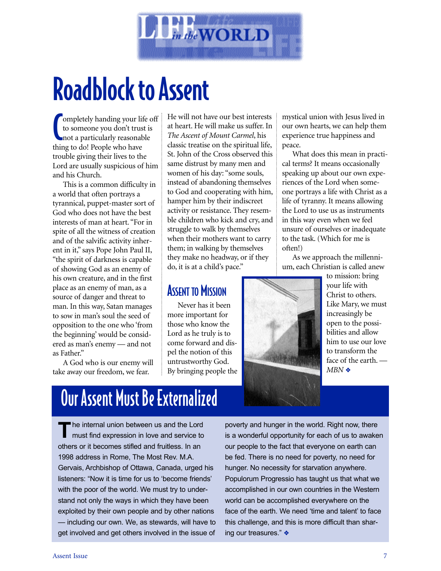

# Roadblock to Assent

**Completely handing your lives to some one you don't trust not a particularly reasonal thing to do! People who have** ompletely handing your life off to someone you don't trust is not a particularly reasonable trouble giving their lives to the Lord are usually suspicious of him and his Church.

This is a common difficulty in a world that often portrays a tyrannical, puppet-master sort of God who does not have the best interests of man at heart. "For in spite of all the witness of creation and of the salvific activity inherent in it," says Pope John Paul II, "the spirit of darkness is capable of showing God as an enemy of his own creature, and in the first place as an enemy of man, as a source of danger and threat to man. In this way, Satan manages to sow in man's soul the seed of opposition to the one who 'from the beginning' would be considered as man's enemy — and not as Father."

A God who is our enemy will take away our freedom, we fear.

He will not have our best interests at heart. He will make us suffer. In *The Ascent of Mount Carmel*, his classic treatise on the spiritual life, St. John of the Cross observed this same distrust by many men and women of his day: "some souls, instead of abandoning themselves to God and cooperating with him, hamper him by their indiscreet activity or resistance. They resemble children who kick and cry, and struggle to walk by themselves when their mothers want to carry them; in walking by themselves they make no headway, or if they do, it is at a child's pace."

# **ASSENT TO MISSION**

Never has it been more important for those who know the Lord as he truly is to come forward and dispel the notion of this untrustworthy God. By bringing people the mystical union with Jesus lived in our own hearts, we can help them experience true happiness and peace.

What does this mean in practical terms? It means occasionally speaking up about our own experiences of the Lord when someone portrays a life with Christ as a life of tyranny. It means allowing the Lord to use us as instruments in this way even when we feel unsure of ourselves or inadequate to the task. (Which for me is often!)

As we approach the millennium, each Christian is called anew



to mission: bring your life with Christ to others. Like Mary, we must increasingly be open to the possibilities and allow him to use our love to transform the face of the earth. — *MBN* ❖

# Our Assent Must Be Externalized

**T**he internal union between us and the Lord must find expression in love and service to others or it becomes stifled and fruitless. In an 1998 address in Rome, The Most Rev. M.A. Gervais, Archbishop of Ottawa, Canada, urged his listeners: "Now it is time for us to 'become friends' with the poor of the world. We must try to understand not only the ways in which they have been exploited by their own people and by other nations — including our own. We, as stewards, will have to get involved and get others involved in the issue of poverty and hunger in the world. Right now, there is a wonderful opportunity for each of us to awaken our people to the fact that everyone on earth can be fed. There is no need for poverty, no need for hunger. No necessity for starvation anywhere. Populorum Progressio has taught us that what we accomplished in our own countries in the Western world can be accomplished everywhere on the face of the earth. We need 'time and talent' to face this challenge, and this is more difficult than sharing our treasures." ❖